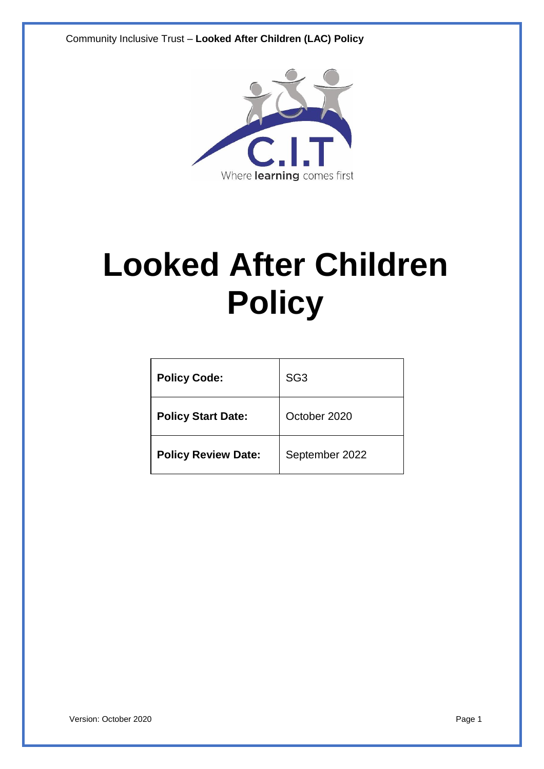Community Inclusive Trust – **Looked After Children (LAC) Policy**



# **Looked After Children Policy**

| <b>Policy Code:</b>        | SG <sub>3</sub> |
|----------------------------|-----------------|
| <b>Policy Start Date:</b>  | October 2020    |
| <b>Policy Review Date:</b> | September 2022  |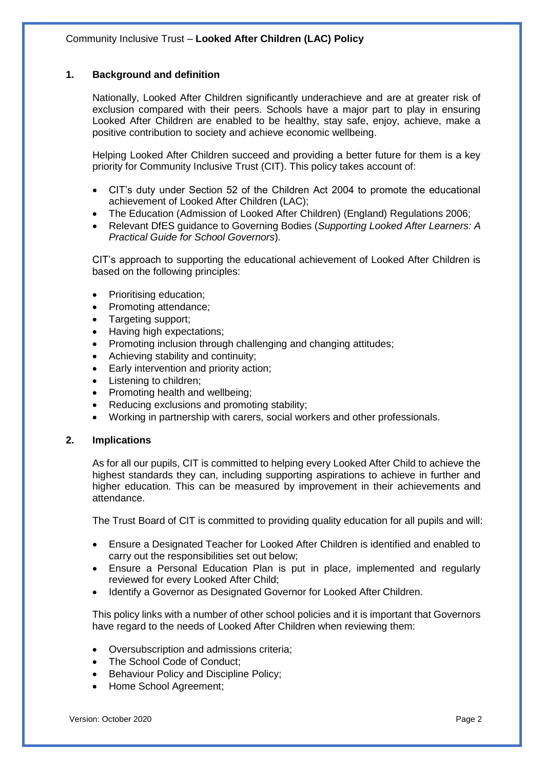#### **1. Background and definition**

Nationally, Looked After Children significantly underachieve and are at greater risk of exclusion compared with their peers. Schools have a major part to play in ensuring Looked After Children are enabled to be healthy, stay safe, enjoy, achieve, make a positive contribution to society and achieve economic wellbeing.

Helping Looked After Children succeed and providing a better future for them is a key priority for Community Inclusive Trust (CIT). This policy takes account of:

- CIT's duty under Section 52 of the Children Act 2004 to promote the educational achievement of Looked After Children (LAC);
- The Education (Admission of Looked After Children) (England) Regulations 2006;
- Relevant DfES guidance to Governing Bodies (*Supporting Looked After Learners: A Practical Guide for School Governors*)*.*

CIT's approach to supporting the educational achievement of Looked After Children is based on the following principles:

- Prioritising education;
- Promoting attendance;
- Targeting support;
- Having high expectations;
- Promoting inclusion through challenging and changing attitudes;
- Achieving stability and continuity;
- Early intervention and priority action;
- Listening to children;
- Promoting health and wellbeing;
- Reducing exclusions and promoting stability;
- Working in partnership with carers, social workers and other professionals.

#### **2. Implications**

As for all our pupils, CIT is committed to helping every Looked After Child to achieve the highest standards they can, including supporting aspirations to achieve in further and higher education. This can be measured by improvement in their achievements and attendance.

The Trust Board of CIT is committed to providing quality education for all pupils and will:

- Ensure a Designated Teacher for Looked After Children is identified and enabled to carry out the responsibilities set out below;
- Ensure a Personal Education Plan is put in place, implemented and regularly reviewed for every Looked After Child;
- Identify a Governor as Designated Governor for Looked After Children.

This policy links with a number of other school policies and it is important that Governors have regard to the needs of Looked After Children when reviewing them:

- Oversubscription and admissions criteria;
- The School Code of Conduct;
- Behaviour Policy and Discipline Policy;
- Home School Agreement;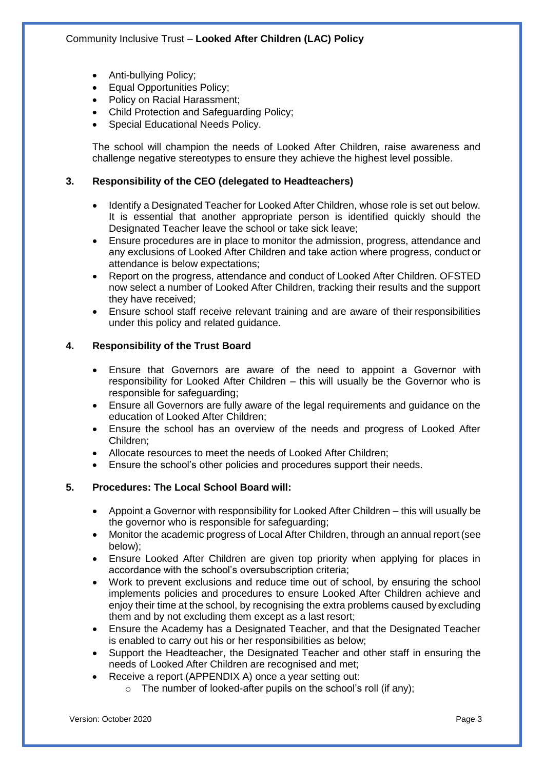- Anti-bullying Policy;
- Equal Opportunities Policy;
- Policy on Racial Harassment;
- Child Protection and Safeguarding Policy;
- Special Educational Needs Policy.

The school will champion the needs of Looked After Children, raise awareness and challenge negative stereotypes to ensure they achieve the highest level possible.

#### **3. Responsibility of the CEO (delegated to Headteachers)**

- Identify a Designated Teacher for Looked After Children, whose role is set out below. It is essential that another appropriate person is identified quickly should the Designated Teacher leave the school or take sick leave;
- Ensure procedures are in place to monitor the admission, progress, attendance and any exclusions of Looked After Children and take action where progress, conduct or attendance is below expectations;
- Report on the progress, attendance and conduct of Looked After Children. OFSTED now select a number of Looked After Children, tracking their results and the support they have received;
- Ensure school staff receive relevant training and are aware of their responsibilities under this policy and related guidance.

#### **4. Responsibility of the Trust Board**

- Ensure that Governors are aware of the need to appoint a Governor with responsibility for Looked After Children – this will usually be the Governor who is responsible for safeguarding;
- Ensure all Governors are fully aware of the legal requirements and guidance on the education of Looked After Children;
- Ensure the school has an overview of the needs and progress of Looked After Children;
- Allocate resources to meet the needs of Looked After Children;
- Ensure the school's other policies and procedures support their needs.

#### **5. Procedures: The Local School Board will:**

- Appoint a Governor with responsibility for Looked After Children this will usually be the governor who is responsible for safeguarding;
- Monitor the academic progress of Local After Children, through an annual report(see below);
- Ensure Looked After Children are given top priority when applying for places in accordance with the school's oversubscription criteria;
- Work to prevent exclusions and reduce time out of school, by ensuring the school implements policies and procedures to ensure Looked After Children achieve and enjoy their time at the school, by recognising the extra problems caused by excluding them and by not excluding them except as a last resort;
- Ensure the Academy has a Designated Teacher, and that the Designated Teacher is enabled to carry out his or her responsibilities as below;
- Support the Headteacher, the Designated Teacher and other staff in ensuring the needs of Looked After Children are recognised and met;
- Receive a report (APPENDIX A) once a year setting out:
	- $\circ$  The number of looked-after pupils on the school's roll (if any);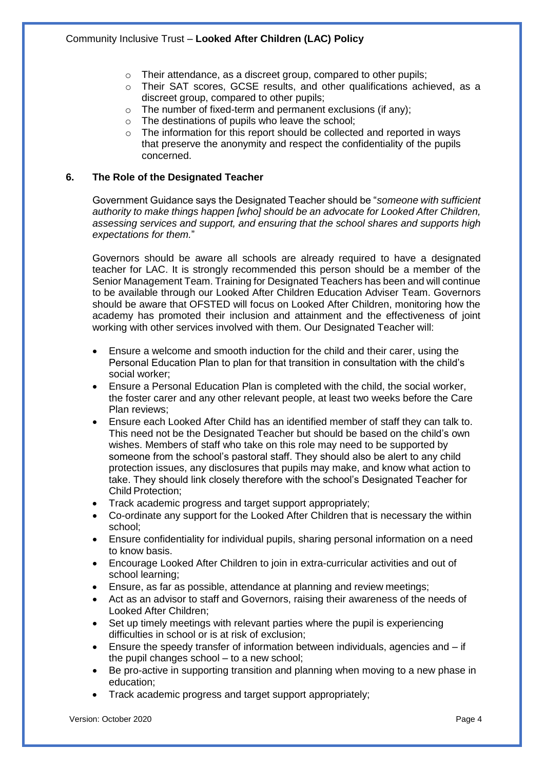- o Their attendance, as a discreet group, compared to other pupils;
- $\circ$  Their SAT scores, GCSE results, and other qualifications achieved, as a discreet group, compared to other pupils;
- o The number of fixed-term and permanent exclusions (if any);
- o The destinations of pupils who leave the school;
- o The information for this report should be collected and reported in ways that preserve the anonymity and respect the confidentiality of the pupils concerned.

#### **6. The Role of the Designated Teacher**

Government Guidance says the Designated Teacher should be "*someone with sufficient authority to make things happen [who] should be an advocate for Looked After Children, assessing services and support, and ensuring that the school shares and supports high expectations for them.*"

Governors should be aware all schools are already required to have a designated teacher for LAC. It is strongly recommended this person should be a member of the Senior Management Team. Training for Designated Teachers has been and will continue to be available through our Looked After Children Education Adviser Team. Governors should be aware that OFSTED will focus on Looked After Children, monitoring how the academy has promoted their inclusion and attainment and the effectiveness of joint working with other services involved with them. Our Designated Teacher will:

- Ensure a welcome and smooth induction for the child and their carer, using the Personal Education Plan to plan for that transition in consultation with the child's social worker;
- Ensure a Personal Education Plan is completed with the child, the social worker, the foster carer and any other relevant people, at least two weeks before the Care Plan reviews;
- Ensure each Looked After Child has an identified member of staff they can talk to. This need not be the Designated Teacher but should be based on the child's own wishes. Members of staff who take on this role may need to be supported by someone from the school's pastoral staff. They should also be alert to any child protection issues, any disclosures that pupils may make, and know what action to take. They should link closely therefore with the school's Designated Teacher for Child Protection;
- Track academic progress and target support appropriately;
- Co-ordinate any support for the Looked After Children that is necessary the within school;
- Ensure confidentiality for individual pupils, sharing personal information on a need to know basis.
- Encourage Looked After Children to join in extra-curricular activities and out of school learning;
- Ensure, as far as possible, attendance at planning and review meetings;
- Act as an advisor to staff and Governors, raising their awareness of the needs of Looked After Children;
- Set up timely meetings with relevant parties where the pupil is experiencing difficulties in school or is at risk of exclusion;
- Ensure the speedy transfer of information between individuals, agencies and  $-$  if the pupil changes school – to a new school;
- Be pro-active in supporting transition and planning when moving to a new phase in education;
- Track academic progress and target support appropriately;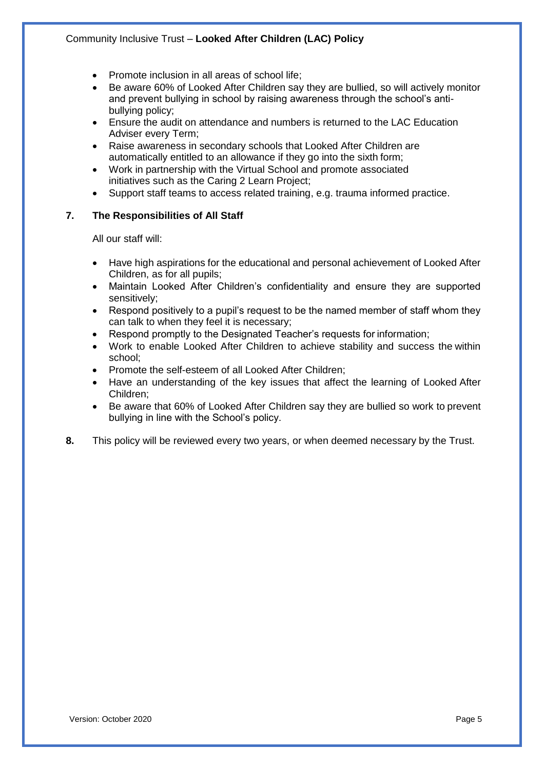- Promote inclusion in all areas of school life;
- Be aware 60% of Looked After Children say they are bullied, so will actively monitor and prevent bullying in school by raising awareness through the school's antibullying policy;
- Ensure the audit on attendance and numbers is returned to the LAC Education Adviser every Term;
- Raise awareness in secondary schools that Looked After Children are automatically entitled to an allowance if they go into the sixth form;
- Work in partnership with the Virtual School and promote associated initiatives such as the Caring 2 Learn Project;
- Support staff teams to access related training, e.g. trauma informed practice.

#### **7. The Responsibilities of All Staff**

All our staff will:

- Have high aspirations for the educational and personal achievement of Looked After Children, as for all pupils;
- Maintain Looked After Children's confidentiality and ensure they are supported sensitively;
- Respond positively to a pupil's request to be the named member of staff whom they can talk to when they feel it is necessary;
- Respond promptly to the Designated Teacher's requests for information;
- Work to enable Looked After Children to achieve stability and success the within school;
- Promote the self-esteem of all Looked After Children;
- Have an understanding of the key issues that affect the learning of Looked After Children;
- Be aware that 60% of Looked After Children say they are bullied so work to prevent bullying in line with the School's policy.
- **8.** This policy will be reviewed every two years, or when deemed necessary by the Trust.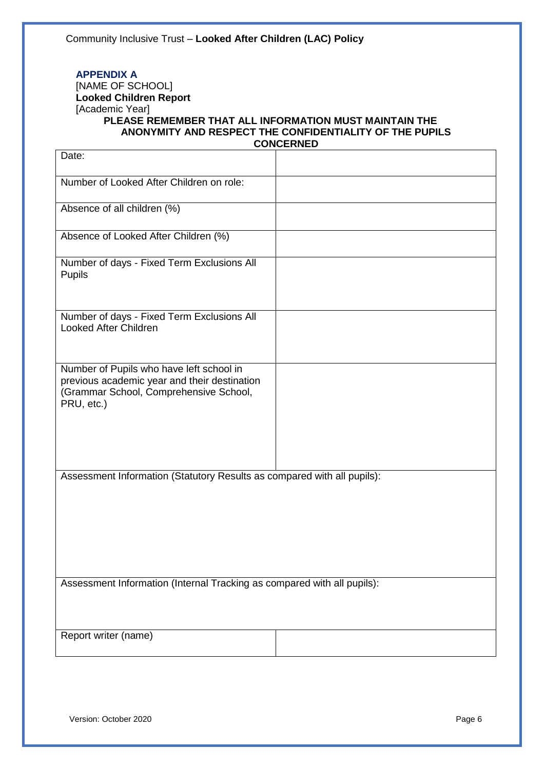#### **APPENDIX A** [NAME OF SCHOOL]

### **Looked Children Report** [Academic Year]

#### **PLEASE REMEMBER THAT ALL INFORMATION MUST MAINTAIN THE ANONYMITY AND RESPECT THE CONFIDENTIALITY OF THE PUPILS CONCERNED**

| Date:                                                                                                                                            |  |  |
|--------------------------------------------------------------------------------------------------------------------------------------------------|--|--|
| Number of Looked After Children on role:                                                                                                         |  |  |
| Absence of all children (%)                                                                                                                      |  |  |
| Absence of Looked After Children (%)                                                                                                             |  |  |
| Number of days - Fixed Term Exclusions All<br><b>Pupils</b>                                                                                      |  |  |
| Number of days - Fixed Term Exclusions All<br><b>Looked After Children</b>                                                                       |  |  |
| Number of Pupils who have left school in<br>previous academic year and their destination<br>(Grammar School, Comprehensive School,<br>PRU, etc.) |  |  |
| Assessment Information (Statutory Results as compared with all pupils):                                                                          |  |  |
| Assessment Information (Internal Tracking as compared with all pupils):                                                                          |  |  |
| Report writer (name)                                                                                                                             |  |  |